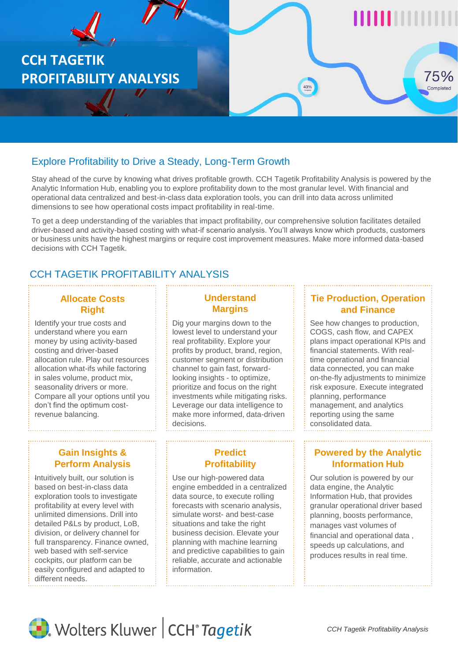

# Explore Profitability to Drive a Steady, Long-Term Growth

Stay ahead of the curve by knowing what drives profitable growth. CCH Tagetik Profitability Analysis is powered by the Analytic Information Hub, enabling you to explore profitability down to the most granular level. With financial and operational data centralized and best-in-class data exploration tools, you can drill into data across unlimited dimensions to see how operational costs impact profitability in real-time.

To get a deep understanding of the variables that impact profitability, our comprehensive solution facilitates detailed driver-based and activity-based costing with what-if scenario analysis. You'll always know which products, customers or business units have the highest margins or require cost improvement measures. Make more informed data-based decisions with CCH Tagetik.

# CCH TAGETIK PROFITABILITY ANALYSIS

# **Allocate Costs Right**

Identify your true costs and understand where you earn money by using activity-based costing and driver-based allocation rule. Play out resources allocation what-ifs while factoring in sales volume, product mix, seasonality drivers or more. Compare all your options until you don't find the optimum costrevenue balancing.

# **Understand Margins**

Dig your margins down to the lowest level to understand your real profitability. Explore your profits by product, brand, region, customer segment or distribution channel to gain fast, forwardlooking insights - to optimize, prioritize and focus on the right investments while mitigating risks. Leverage our data intelligence to make more informed, data-driven decisions.

# **Gain Insights & Perform Analysis**

Intuitively built, our solution is based on best-in-class data exploration tools to investigate profitability at every level with unlimited dimensions. Drill into detailed P&Ls by product, LoB, division, or delivery channel for full transparency. Finance owned, web based with self-service cockpits, our platform can be easily configured and adapted to different needs.

# **Predict Profitability**

Use our high-powered data engine embedded in a centralized data source, to execute rolling forecasts with scenario analysis, simulate worst- and best-case situations and take the right business decision. Elevate your planning with machine learning and predictive capabilities to gain reliable, accurate and actionable information.

### **Tie Production, Operation and Finance**

See how changes to production, COGS, cash flow, and CAPEX plans impact operational KPIs and financial statements. With realtime operational and financial data connected, you can make on-the-fly adjustments to minimize risk exposure. Execute integrated planning, performance management, and analytics reporting using the same consolidated data.

# **Powered by the Analytic Information Hub**

Our solution is powered by our data engine, the Analytic Information Hub, that provides granular operational driver based planning, boosts performance, manages vast volumes of financial and operational data , speeds up calculations, and produces results in real time.